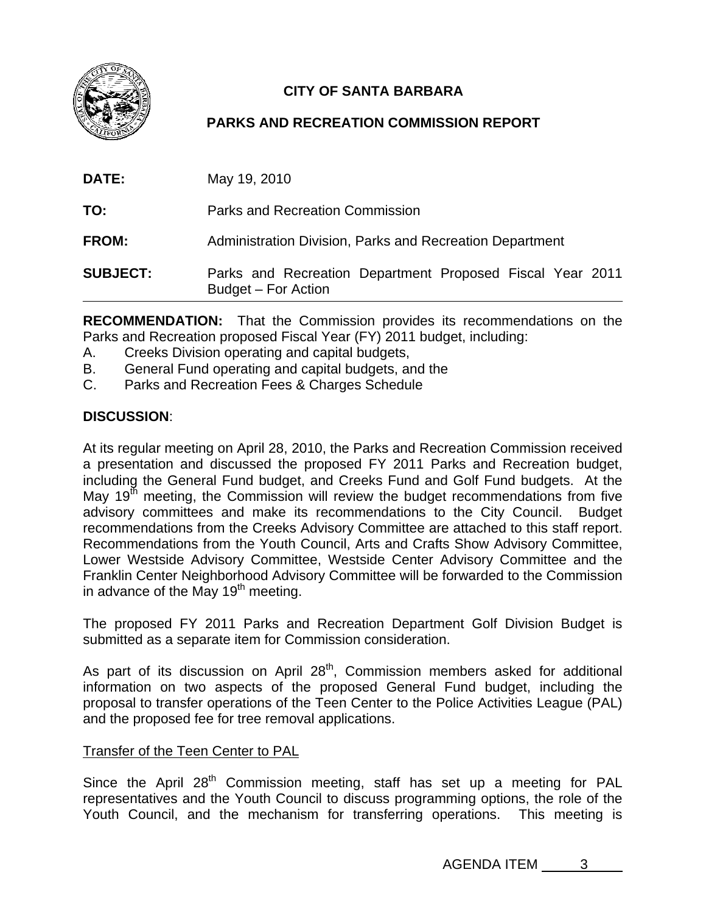

# **CITY OF SANTA BARBARA**

## **PARKS AND RECREATION COMMISSION REPORT**

| <b>DATE:</b>    | May 19, 2010                                                                     |
|-----------------|----------------------------------------------------------------------------------|
| TO:             | Parks and Recreation Commission                                                  |
| <b>FROM:</b>    | Administration Division, Parks and Recreation Department                         |
| <b>SUBJECT:</b> | Parks and Recreation Department Proposed Fiscal Year 2011<br>Budget – For Action |

**RECOMMENDATION:** That the Commission provides its recommendations on the Parks and Recreation proposed Fiscal Year (FY) 2011 budget, including:

- A. Creeks Division operating and capital budgets,
- B. General Fund operating and capital budgets, and the
- C. Parks and Recreation Fees & Charges Schedule

### **DISCUSSION**:

At its regular meeting on April 28, 2010, the Parks and Recreation Commission received a presentation and discussed the proposed FY 2011 Parks and Recreation budget, including the General Fund budget, and Creeks Fund and Golf Fund budgets. At the May  $19<sup>th</sup>$  meeting, the Commission will review the budget recommendations from five advisory committees and make its recommendations to the City Council. Budget recommendations from the Creeks Advisory Committee are attached to this staff report. Recommendations from the Youth Council, Arts and Crafts Show Advisory Committee, Lower Westside Advisory Committee, Westside Center Advisory Committee and the Franklin Center Neighborhood Advisory Committee will be forwarded to the Commission in advance of the May  $19<sup>th</sup>$  meeting.

The proposed FY 2011 Parks and Recreation Department Golf Division Budget is submitted as a separate item for Commission consideration.

As part of its discussion on April  $28<sup>th</sup>$ , Commission members asked for additional information on two aspects of the proposed General Fund budget, including the proposal to transfer operations of the Teen Center to the Police Activities League (PAL) and the proposed fee for tree removal applications.

### Transfer of the Teen Center to PAL

Since the April  $28<sup>th</sup>$  Commission meeting, staff has set up a meeting for PAL representatives and the Youth Council to discuss programming options, the role of the Youth Council, and the mechanism for transferring operations. This meeting is

AGENDA ITEM 3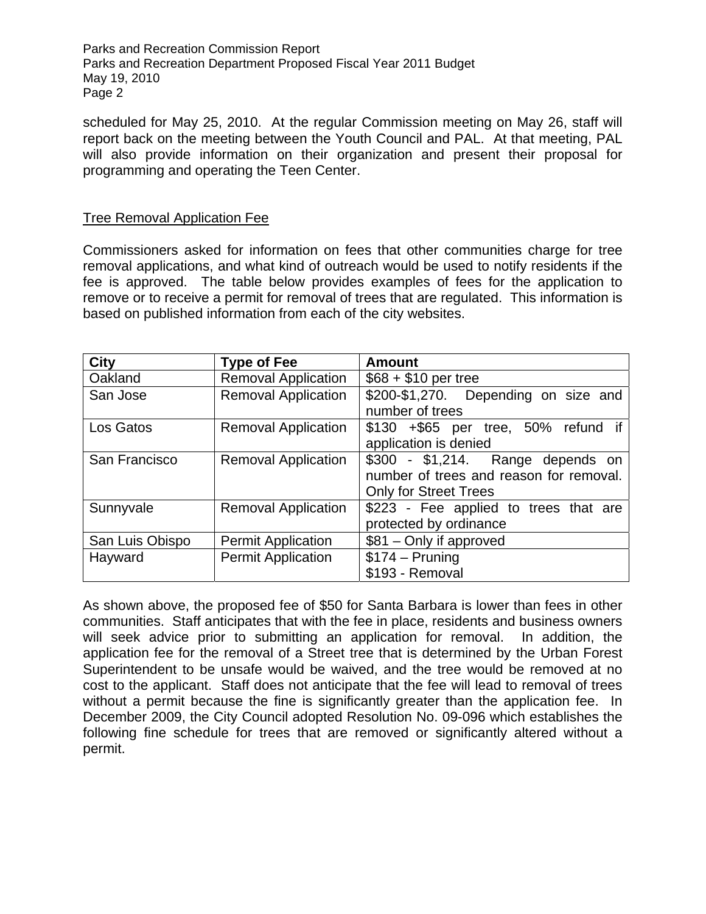Parks and Recreation Commission Report Parks and Recreation Department Proposed Fiscal Year 2011 Budget May 19, 2010 Page 2

scheduled for May 25, 2010. At the regular Commission meeting on May 26, staff will report back on the meeting between the Youth Council and PAL. At that meeting, PAL will also provide information on their organization and present their proposal for programming and operating the Teen Center.

### Tree Removal Application Fee

Commissioners asked for information on fees that other communities charge for tree removal applications, and what kind of outreach would be used to notify residents if the fee is approved. The table below provides examples of fees for the application to remove or to receive a permit for removal of trees that are regulated. This information is based on published information from each of the city websites.

| <b>City</b>     | <b>Type of Fee</b>         | <b>Amount</b>                                                                                                |  |
|-----------------|----------------------------|--------------------------------------------------------------------------------------------------------------|--|
| Oakland         | <b>Removal Application</b> | $$68 + $10$ per tree                                                                                         |  |
| San Jose        | <b>Removal Application</b> | \$200-\$1,270. Depending on size and<br>number of trees                                                      |  |
| Los Gatos       | <b>Removal Application</b> | \$130 +\$65 per tree, 50% refund if<br>application is denied                                                 |  |
| San Francisco   | <b>Removal Application</b> | \$300 - \$1,214. Range depends on<br>number of trees and reason for removal.<br><b>Only for Street Trees</b> |  |
| Sunnyvale       | <b>Removal Application</b> | \$223 - Fee applied to trees that are<br>protected by ordinance                                              |  |
| San Luis Obispo | <b>Permit Application</b>  | \$81 - Only if approved                                                                                      |  |
| Hayward         | <b>Permit Application</b>  | $$174 - Pruning$<br>\$193 - Removal                                                                          |  |

As shown above, the proposed fee of \$50 for Santa Barbara is lower than fees in other communities. Staff anticipates that with the fee in place, residents and business owners will seek advice prior to submitting an application for removal. In addition, the application fee for the removal of a Street tree that is determined by the Urban Forest Superintendent to be unsafe would be waived, and the tree would be removed at no cost to the applicant. Staff does not anticipate that the fee will lead to removal of trees without a permit because the fine is significantly greater than the application fee. In December 2009, the City Council adopted Resolution No. 09-096 which establishes the following fine schedule for trees that are removed or significantly altered without a permit.